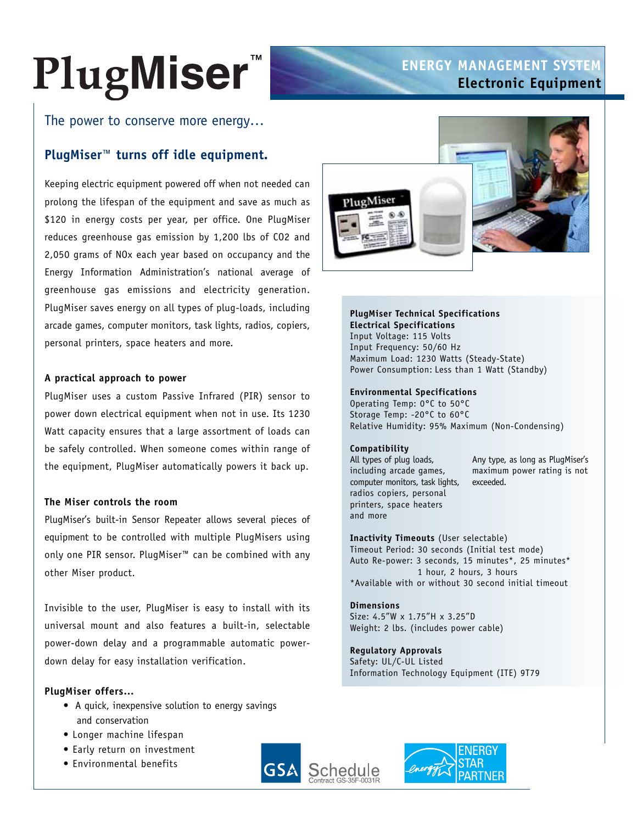# PlugMiser

# **ENERGY MANAGEMENT SYSTEM Electronic Equipment**

The power to conserve more energy…

# **PlugMiser™ turns off idle equipment.**

Keeping electric equipment powered off when not needed can prolong the lifespan of the equipment and save as much as \$120 in energy costs per year, per office. One PlugMiser reduces greenhouse gas emission by 1,200 lbs of CO2 and 2,050 grams of NOx each year based on occupancy and the Energy Information Administration's national average of greenhouse gas emissions and electricity generation. PlugMiser saves energy on all types of plug-loads, including arcade games, computer monitors, task lights, radios, copiers, personal printers, space heaters and more.

### **A practical approach to power**

PlugMiser uses a custom Passive Infrared (PIR) sensor to power down electrical equipment when not in use. Its 1230 Watt capacity ensures that a large assortment of loads can be safely controlled. When someone comes within range of the equipment, PlugMiser automatically powers it back up.

## **The Miser controls the room**

PlugMiser's built-in Sensor Repeater allows several pieces of equipment to be controlled with multiple PlugMisers using only one PIR sensor. PlugMiser™ can be combined with any other Miser product.

Invisible to the user, PlugMiser is easy to install with its universal mount and also features a built-in, selectable power-down delay and a programmable automatic powerdown delay for easy installation verification.

## **PlugMiser offers…**

- A quick, inexpensive solution to energy savings and conservation
- Longer machine lifespan
- Early return on investment
- Environmental benefits





## **PlugMiser Technical Specifications Electrical Specifications**

Input Voltage: 115 Volts Input Frequency: 50/60 Hz Maximum Load: 1230 Watts (Steady-State) Power Consumption: Less than 1 Watt (Standby)

#### **Environmental Specifications**

Operating Temp: 0°C to 50°C Storage Temp: -20°C to 60°C Relative Humidity: 95% Maximum (Non-Condensing)

#### **Compatibility**

computer monitors, task lights, exceeded. radios copiers, personal printers, space heaters and more

All types of plug loads, Any type, as long as PlugMiser's including arcade games, maximum power rating is not

**Inactivity Timeouts** (User selectable) Timeout Period: 30 seconds (Initial test mode) Auto Re-power: 3 seconds, 15 minutes\*, 25 minutes\* 1 hour, 2 hours, 3 hours \*Available with or without 30 second initial timeout

#### **Dimensions**

Size: 4.5"W x 1.75"H x 3.25"D Weight: 2 lbs. (includes power cable)

**Regulatory Approvals** Safety: UL/C-UL Listed Information Technology Equipment (ITE) 9T79